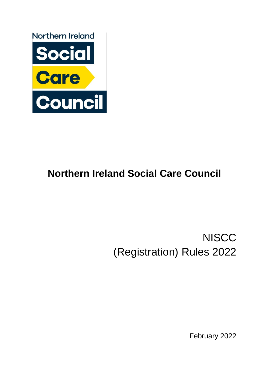

# **Northern Ireland Social Care Council**

# **NISCC** (Registration) Rules 2022

February 2022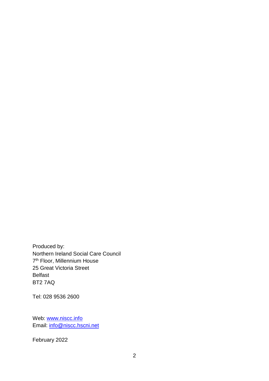Produced by: Northern Ireland Social Care Council 7 th Floor, Millennium House 25 Great Victoria Street Belfast BT2 7AQ

Tel: 028 9536 2600

Web: [www.niscc.info](http://www.niscc.info/) Email: [info@niscc.hscni.net](mailto:info@niscc.hscni.net)

February 2022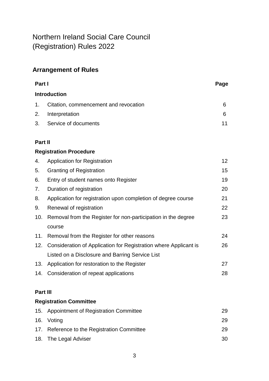# Northern Ireland Social Care Council (Registration) Rules 2022

# **Arrangement of Rules**

| Part I |                                       | Page |
|--------|---------------------------------------|------|
|        | <b>Introduction</b>                   |      |
| 1.     | Citation, commencement and revocation | 6    |
| 2.     | Interpretation                        | 6    |
| 3.     | Service of documents                  | 11   |

## **Part II**

#### **Registration Procedure**

| 4.  | <b>Application for Registration</b>                                  | 12 <sup>°</sup> |
|-----|----------------------------------------------------------------------|-----------------|
| 5.  | <b>Granting of Registration</b>                                      | 15              |
| 6.  | Entry of student names onto Register                                 | 19              |
| 7.  | Duration of registration                                             | 20              |
| 8.  | Application for registration upon completion of degree course        | 21              |
| 9.  | Renewal of registration                                              | 22              |
| 10. | Removal from the Register for non-participation in the degree        | 23              |
|     | course                                                               |                 |
|     | 11. Removal from the Register for other reasons                      | 24              |
|     | 12. Consideration of Application for Registration where Applicant is | 26              |
|     | Listed on a Disclosure and Barring Service List                      |                 |
| 13. | Application for restoration to the Register                          | 27              |
|     | 14. Consideration of repeat applications                             | 28              |

## **Part III**

# **Registration Committee**

| 15. Appointment of Registration Committee   | 29  |
|---------------------------------------------|-----|
| 16. Voting                                  | 29  |
| 17. Reference to the Registration Committee | 29  |
| 18. The Legal Adviser                       | 30. |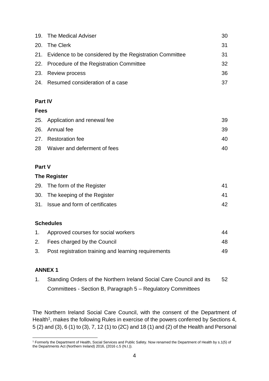| 19. The Medical Adviser                                     | 30 |
|-------------------------------------------------------------|----|
| 20. The Clerk                                               | 31 |
| 21. Evidence to be considered by the Registration Committee | 31 |
| 22. Procedure of the Registration Committee                 | 32 |
| 23. Review process                                          | 36 |
| 24. Resumed consideration of a case                         | 37 |

#### **Part IV**

#### **Fees**

| 25. Application and renewal fee | 39  |
|---------------------------------|-----|
| 26. Annual fee                  | 39  |
| 27. Restoration fee             | 40. |
| 28 Waiver and deferment of fees | 40  |

#### **Part V**

#### **The Register**

| 29. The form of the Register       | 41  |
|------------------------------------|-----|
| 30. The keeping of the Register    | 41  |
| 31. Issue and form of certificates | 42. |

### **Schedules**

| 1. Approved courses for social workers                  | 44 |
|---------------------------------------------------------|----|
| 2. Fees charged by the Council                          | 48 |
| 3. Post registration training and learning requirements | 49 |

### **ANNEX 1**

1. Standing Orders of the Northern Ireland Social Care Council and its Committees - Section B, Paragraph 5 – Regulatory Committees 52

The Northern Ireland Social Care Council, with the consent of the Department of Health<sup>1</sup>, makes the following Rules in exercise of the powers conferred by Sections 4, 5 (2) and (3), 6 (1) to (3), 7, 12 (1) to (2C) and 18 (1) and (2) of the Health and Personal

<sup>1</sup> <sup>1</sup> Formerly the Department of Health, Social Services and Public Safety. Now renamed the Department of Health by s.1(5) of the Departments Act (Northern Ireland) 2016, (2016 c.5 (N.I.)).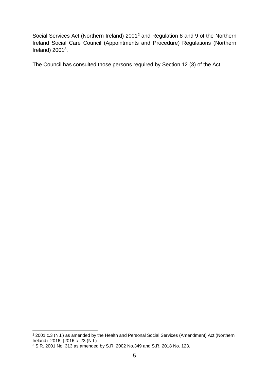Social Services Act (Northern Ireland) 2001<sup>2</sup> and Regulation 8 and 9 of the Northern Ireland Social Care Council (Appointments and Procedure) Regulations (Northern Ireland)  $2001<sup>3</sup>$ .

The Council has consulted those persons required by Section 12 (3) of the Act.

1

 $2$  2001 c.3 (N.I.) as amended by the Health and Personal Social Services (Amendment) Act (Northern Ireland) 2016, (2016 c. 23 (N.I.)

<sup>3</sup> S.R. 2001 No. 313 as amended by S.R. 2002 No.349 and S.R. 2018 No. 123.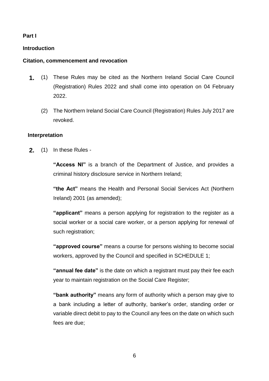#### **Part I**

#### **Introduction**

#### **Citation, commencement and revocation**

- **1.** (1) These Rules may be cited as the Northern Ireland Social Care Council (Registration) Rules 2022 and shall come into operation on 04 February 2022.
	- (2) The Northern Ireland Social Care Council (Registration) Rules July 2017 are revoked.

#### **Interpretation**

**2.** (1) In these Rules -

**"Access NI"** is a branch of the Department of Justice, and provides a criminal history disclosure service in Northern Ireland;

**"the Act"** means the Health and Personal Social Services Act (Northern Ireland) 2001 (as amended);

**"applicant"** means a person applying for registration to the register as a social worker or a social care worker, or a person applying for renewal of such registration;

**"approved course"** means a course for persons wishing to become social workers, approved by the Council and specified in SCHEDULE 1;

**"annual fee date"** is the date on which a registrant must pay their fee each year to maintain registration on the Social Care Register;

**"bank authority"** means any form of authority which a person may give to a bank including a letter of authority, banker's order, standing order or variable direct debit to pay to the Council any fees on the date on which such fees are due;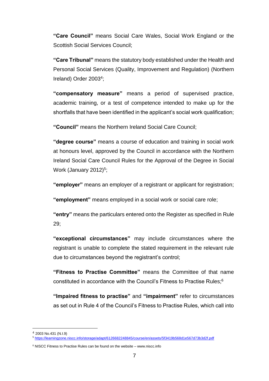**"Care Council"** means Social Care Wales, Social Work England or the Scottish Social Services Council;

**"Care Tribunal"** means the statutory body established under the Health and Personal Social Services (Quality, Improvement and Regulation) (Northern Ireland) Order 2003<sup>4</sup>;

**"compensatory measure"** means a period of supervised practice, academic training, or a test of competence intended to make up for the shortfalls that have been identified in the applicant's social work qualification;

**"Council"** means the Northern Ireland Social Care Council;

**"degree course"** means a course of education and training in social work at honours level, approved by the Council in accordance with the Northern Ireland Social Care Council Rules for the Approval of the Degree in Social Work (January 2012)<sup>5</sup>;

**"employer"** means an employer of a registrant or applicant for registration;

**"employment"** means employed in a social work or social care role;

**"entry"** means the particulars entered onto the Register as specified in Rule 29;

**"exceptional circumstances"** may include circumstances where the registrant is unable to complete the stated requirement in the relevant rule due to circumstances beyond the registrant's control;

**"Fitness to Practise Committee"** means the Committee of that name constituted in accordance with the Council's Fitness to Practise Rules;<sup>6</sup>

**"Impaired fitness to practise"** and **"impairment"** refer to circumstances as set out in Rule 4 of the Council's Fitness to Practise Rules, which call into

<sup>1</sup> <sup>4</sup> 2003 No.431 (N.I.9)

<sup>5</sup> <https://learningzone.niscc.info/storage/adapt/6126682248845/course/en/assets/5f3419b568d1e567d73b3d2f.pdf>

<sup>&</sup>lt;sup>6</sup> NISCC Fitness to Practise Rules can be found on the website – www.niscc.info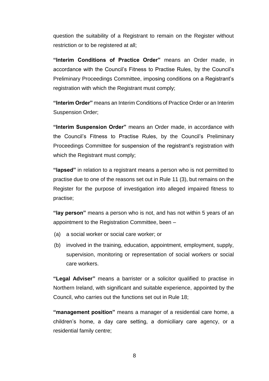question the suitability of a Registrant to remain on the Register without restriction or to be registered at all;

**"Interim Conditions of Practice Order"** means an Order made, in accordance with the Council's Fitness to Practise Rules, by the Council's Preliminary Proceedings Committee, imposing conditions on a Registrant's registration with which the Registrant must comply;

**"Interim Order"** means an Interim Conditions of Practice Order or an Interim Suspension Order;

**"Interim Suspension Order"** means an Order made, in accordance with the Council's Fitness to Practise Rules, by the Council's Preliminary Proceedings Committee for suspension of the registrant's registration with which the Registrant must comply;

**"lapsed"** in relation to a registrant means a person who is not permitted to practise due to one of the reasons set out in Rule 11 (3), but remains on the Register for the purpose of investigation into alleged impaired fitness to practise;

**"lay person"** means a person who is not, and has not within 5 years of an appointment to the Registration Committee, been –

- (a) a social worker or social care worker; or
- (b) involved in the training, education, appointment, employment, supply, supervision, monitoring or representation of social workers or social care workers.

**"Legal Adviser"** means a barrister or a solicitor qualified to practise in Northern Ireland, with significant and suitable experience, appointed by the Council, who carries out the functions set out in Rule 18;

**"management position"** means a manager of a residential care home, a children's home, a day care setting, a domiciliary care agency, or a residential family centre;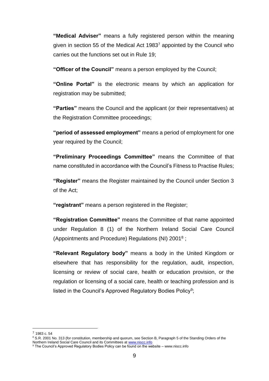**"Medical Adviser"** means a fully registered person within the meaning given in section 55 of the Medical Act 1983<sup>7</sup> appointed by the Council who carries out the functions set out in Rule 19;

**"Officer of the Council"** means a person employed by the Council;

**"Online Portal"** is the electronic means by which an application for registration may be submitted;

**"Parties"** means the Council and the applicant (or their representatives) at the Registration Committee proceedings;

**"period of assessed employment"** means a period of employment for one year required by the Council;

**"Preliminary Proceedings Committee"** means the Committee of that name constituted in accordance with the Council's Fitness to Practise Rules;

**"Register"** means the Register maintained by the Council under Section 3 of the Act;

**"registrant"** means a person registered in the Register;

**"Registration Committee"** means the Committee of that name appointed under Regulation 8 (1) of the Northern Ireland Social Care Council (Appointments and Procedure) Regulations (NI) 2001<sup>8</sup> ;

**"Relevant Regulatory body"** means a body in the United Kingdom or elsewhere that has responsibility for the regulation, audit, inspection, licensing or review of social care, health or education provision, or the regulation or licensing of a social care, health or teaching profession and is listed in the Council's Approved Regulatory Bodies Policy<sup>9</sup>;

1

<sup>7</sup> 1983 c. 54

<sup>&</sup>lt;sup>8</sup> S.R. 2001 No. 313 (for constitution, membership and quorum, see Section B, Paragraph 5 of the Standing Orders of the Northern Ireland Social Care Council and its Committees at [www.niscc.info](http://www.niscc.info/)

<sup>9</sup> The Council's Approved Regulatory Bodies Policy can be found on the website – www.niscc.info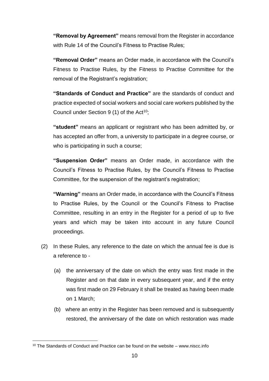**"Removal by Agreement"** means removal from the Register in accordance with Rule 14 of the Council's Fitness to Practise Rules;

**"Removal Order"** means an Order made, in accordance with the Council's Fitness to Practise Rules, by the Fitness to Practise Committee for the removal of the Registrant's registration;

**"Standards of Conduct and Practice"** are the standards of conduct and practice expected of social workers and social care workers published by the Council under Section 9 (1) of the Act<sup>10</sup>;

**"student"** means an applicant or registrant who has been admitted by, or has accepted an offer from, a university to participate in a degree course, or who is participating in such a course;

**"Suspension Order"** means an Order made, in accordance with the Council's Fitness to Practise Rules, by the Council's Fitness to Practise Committee, for the suspension of the registrant's registration;

**"Warning"** means an Order made, in accordance with the Council's Fitness to Practise Rules, by the Council or the Council's Fitness to Practise Committee, resulting in an entry in the Register for a period of up to five years and which may be taken into account in any future Council proceedings.

- (2) In these Rules, any reference to the date on which the annual fee is due is a reference to -
	- (a) the anniversary of the date on which the entry was first made in the Register and on that date in every subsequent year, and if the entry was first made on 29 February it shall be treated as having been made on 1 March;
	- (b) where an entry in the Register has been removed and is subsequently restored, the anniversary of the date on which restoration was made

1

<sup>10</sup> The Standards of Conduct and Practice can be found on the website – www.niscc.info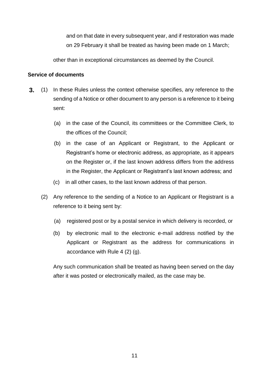and on that date in every subsequent year, and if restoration was made on 29 February it shall be treated as having been made on 1 March;

other than in exceptional circumstances as deemed by the Council.

#### **Service of documents**

- **3.** (1) In these Rules unless the context otherwise specifies, any reference to the sending of a Notice or other document to any person is a reference to it being sent:
	- (a) in the case of the Council, its committees or the Committee Clerk, to the offices of the Council;
	- (b) in the case of an Applicant or Registrant, to the Applicant or Registrant's home or electronic address, as appropriate, as it appears on the Register or, if the last known address differs from the address in the Register, the Applicant or Registrant's last known address; and
	- (c) in all other cases, to the last known address of that person.
	- (2) Any reference to the sending of a Notice to an Applicant or Registrant is a reference to it being sent by:
		- (a) registered post or by a postal service in which delivery is recorded, or
		- (b) by electronic mail to the electronic e-mail address notified by the Applicant or Registrant as the address for communications in accordance with Rule 4 (2) (g).

Any such communication shall be treated as having been served on the day after it was posted or electronically mailed, as the case may be.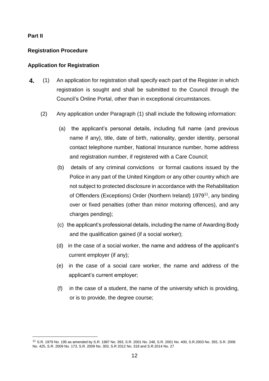#### **Part II**

1

#### **Registration Procedure**

#### **Application for Registration**

- **4.** (1) An application for registration shall specify each part of the Register in which registration is sought and shall be submitted to the Council through the Council's Online Portal, other than in exceptional circumstances.
	- (2) Any application under Paragraph (1) shall include the following information:
		- (a) the applicant's personal details, including full name (and previous name if any), title, date of birth, nationality, gender identity, personal contact telephone number, National Insurance number, home address and registration number, if registered with a Care Council;
		- (b) details of any criminal convictions or formal cautions issued by the Police in any part of the United Kingdom or any other country which are not subject to protected disclosure in accordance with the Rehabilitation of Offenders (Exceptions) Order (Northern Ireland) 1979<sup>11</sup>, any binding over or fixed penalties (other than minor motoring offences), and any charges pending);
		- (c) the applicant's professional details, including the name of Awarding Body and the qualification gained (if a social worker);
		- (d) in the case of a social worker, the name and address of the applicant's current employer (if any);
		- (e) in the case of a social care worker, the name and address of the applicant's current employer;
		- (f) in the case of a student, the name of the university which is providing, or is to provide, the degree course;

<sup>11</sup> S.R. 1979 No. 195 as amended by S.R. 1987 No. 393, S.R. 2001 No. 248, S.R. 2001 No. 400, S.R.2003 No. 355, S.R. 2006 No. 425, S.R. 2009 No. 173, S.R. 2009 No. 303, S.R 2012 No. 318 and S.R.2014 No. 27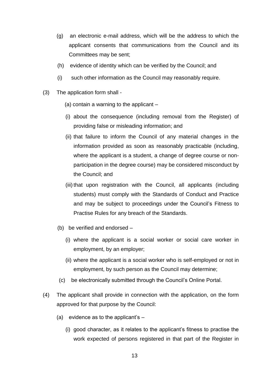- (g) an electronic e-mail address, which will be the address to which the applicant consents that communications from the Council and its Committees may be sent;
- (h) evidence of identity which can be verified by the Council; and
- (i) such other information as the Council may reasonably require.
- (3) The application form shall
	- (a) contain a warning to the applicant –
	- (i) about the consequence (including removal from the Register) of providing false or misleading information; and
	- (ii) that failure to inform the Council of any material changes in the information provided as soon as reasonably practicable (including, where the applicant is a student, a change of degree course or nonparticipation in the degree course) may be considered misconduct by the Council; and
	- (iii) that upon registration with the Council, all applicants (including students) must comply with the Standards of Conduct and Practice and may be subject to proceedings under the Council's Fitness to Practise Rules for any breach of the Standards.
	- (b) be verified and endorsed
		- (i) where the applicant is a social worker or social care worker in employment, by an employer;
		- (ii) where the applicant is a social worker who is self-employed or not in employment, by such person as the Council may determine;
	- (c) be electronically submitted through the Council's Online Portal.
- (4) The applicant shall provide in connection with the application, on the form approved for that purpose by the Council:
	- (a) evidence as to the applicant's  $-$ 
		- (i) good character, as it relates to the applicant's fitness to practise the work expected of persons registered in that part of the Register in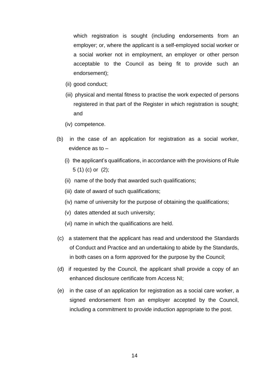which registration is sought (including endorsements from an employer; or, where the applicant is a self-employed social worker or a social worker not in employment, an employer or other person acceptable to the Council as being fit to provide such an endorsement);

- (ii) good conduct;
- (iii) physical and mental fitness to practise the work expected of persons registered in that part of the Register in which registration is sought; and
- (iv) competence.
- (b) in the case of an application for registration as a social worker, evidence as to –
	- (i) the applicant's qualifications, in accordance with the provisions of Rule 5 (1) (c) or (2);
	- (ii) name of the body that awarded such qualifications;
	- (iii) date of award of such qualifications;
	- (iv) name of university for the purpose of obtaining the qualifications;
	- (v) dates attended at such university;
	- (vi) name in which the qualifications are held.
- (c) a statement that the applicant has read and understood the Standards of Conduct and Practice and an undertaking to abide by the Standards, in both cases on a form approved for the purpose by the Council;
- (d) if requested by the Council, the applicant shall provide a copy of an enhanced disclosure certificate from Access NI;
- (e) in the case of an application for registration as a social care worker, a signed endorsement from an employer accepted by the Council, including a commitment to provide induction appropriate to the post.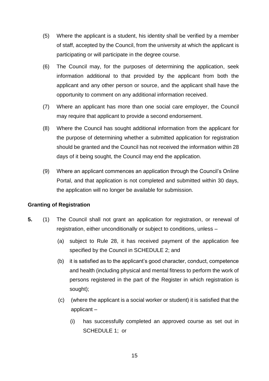- (5) Where the applicant is a student, his identity shall be verified by a member of staff, accepted by the Council, from the university at which the applicant is participating or will participate in the degree course.
- (6) The Council may, for the purposes of determining the application, seek information additional to that provided by the applicant from both the applicant and any other person or source, and the applicant shall have the opportunity to comment on any additional information received.
- (7) Where an applicant has more than one social care employer, the Council may require that applicant to provide a second endorsement.
- (8) Where the Council has sought additional information from the applicant for the purpose of determining whether a submitted application for registration should be granted and the Council has not received the information within 28 days of it being sought, the Council may end the application.
- (9) Where an applicant commences an application through the Council's Online Portal, and that application is not completed and submitted within 30 days, the application will no longer be available for submission.

#### **Granting of Registration**

- **5.** (1) The Council shall not grant an application for registration, or renewal of registration, either unconditionally or subject to conditions, unless –
	- (a) subject to Rule 28, it has received payment of the application fee specified by the Council in SCHEDULE 2; and
	- (b) it is satisfied as to the applicant's good character, conduct, competence and health (including physical and mental fitness to perform the work of persons registered in the part of the Register in which registration is sought);
	- (c) (where the applicant is a social worker or student) it is satisfied that the applicant –
		- (i) has successfully completed an approved course as set out in SCHEDULE 1; or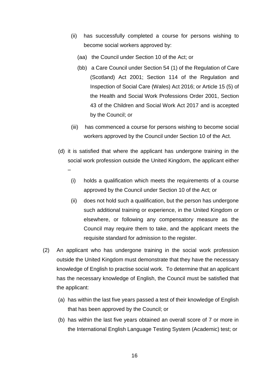- (ii) has successfully completed a course for persons wishing to become social workers approved by:
	- (aa) the Council under Section 10 of the Act; or
	- (bb) a Care Council under Section 54 (1) of the Regulation of Care (Scotland) Act 2001; Section 114 of the Regulation and Inspection of Social Care (Wales) Act 2016; or Article 15 (5) of the Health and Social Work Professions Order 2001, Section 43 of the Children and Social Work Act 2017 and is accepted by the Council; or
- (iii) has commenced a course for persons wishing to become social workers approved by the Council under Section 10 of the Act.
- (d) it is satisfied that where the applicant has undergone training in the social work profession outside the United Kingdom, the applicant either

–

- (i) holds a qualification which meets the requirements of a course approved by the Council under Section 10 of the Act; or
- (ii) does not hold such a qualification, but the person has undergone such additional training or experience, in the United Kingdom or elsewhere, or following any compensatory measure as the Council may require them to take, and the applicant meets the requisite standard for admission to the register.
- (2) An applicant who has undergone training in the social work profession outside the United Kingdom must demonstrate that they have the necessary knowledge of English to practise social work. To determine that an applicant has the necessary knowledge of English, the Council must be satisfied that the applicant:
	- (a) has within the last five years passed a test of their knowledge of English that has been approved by the Council; or
	- (b) has within the last five years obtained an overall score of 7 or more in the International English Language Testing System (Academic) test; or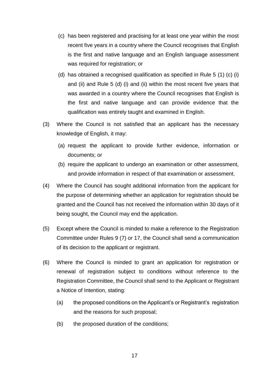- (c) has been registered and practising for at least one year within the most recent five years in a country where the Council recognises that English is the first and native language and an English language assessment was required for registration; or
- (d) has obtained a recognised qualification as specified in Rule 5 (1) (c) (i) and (ii) and Rule 5 (d) (i) and (ii) within the most recent five years that was awarded in a country where the Council recognises that English is the first and native language and can provide evidence that the qualification was entirely taught and examined in English.
- (3) Where the Council is not satisfied that an applicant has the necessary knowledge of English, it may:
	- (a) request the applicant to provide further evidence, information or documents; or
	- (b) require the applicant to undergo an examination or other assessment, and provide information in respect of that examination or assessment.
- (4) Where the Council has sought additional information from the applicant for the purpose of determining whether an application for registration should be granted and the Council has not received the information within 30 days of it being sought, the Council may end the application.
- (5) Except where the Council is minded to make a reference to the Registration Committee under Rules 9 (7) or 17, the Council shall send a communication of its decision to the applicant or registrant.
- (6) Where the Council is minded to grant an application for registration or renewal of registration subject to conditions without reference to the Registration Committee, the Council shall send to the Applicant or Registrant a Notice of Intention, stating:
	- (a) the proposed conditions on the Applicant's or Registrant's registration and the reasons for such proposal;
	- (b) the proposed duration of the conditions;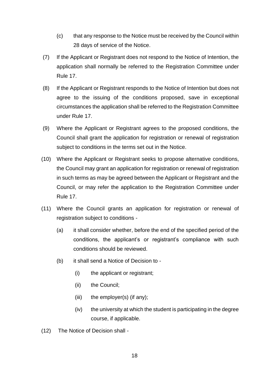- (c) that any response to the Notice must be received by the Council within 28 days of service of the Notice.
- (7) If the Applicant or Registrant does not respond to the Notice of Intention, the application shall normally be referred to the Registration Committee under Rule 17.
- (8) If the Applicant or Registrant responds to the Notice of Intention but does not agree to the issuing of the conditions proposed, save in exceptional circumstances the application shall be referred to the Registration Committee under Rule 17.
- (9) Where the Applicant or Registrant agrees to the proposed conditions, the Council shall grant the application for registration or renewal of registration subject to conditions in the terms set out in the Notice.
- (10) Where the Applicant or Registrant seeks to propose alternative conditions, the Council may grant an application for registration or renewal of registration in such terms as may be agreed between the Applicant or Registrant and the Council, or may refer the application to the Registration Committee under Rule 17.
- (11) Where the Council grants an application for registration or renewal of registration subject to conditions -
	- (a) it shall consider whether, before the end of the specified period of the conditions, the applicant's or registrant's compliance with such conditions should be reviewed.
	- (b) it shall send a Notice of Decision to
		- (i) the applicant or registrant;
		- (ii) the Council;
		- (iii) the employer(s) (if any);
		- (iv) the university at which the student is participating in the degree course, if applicable.
- (12) The Notice of Decision shall -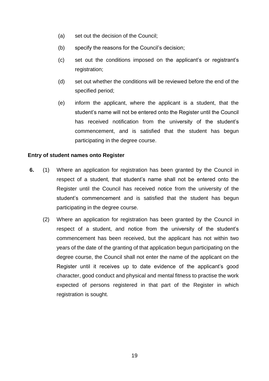- (a) set out the decision of the Council;
- (b) specify the reasons for the Council's decision;
- (c) set out the conditions imposed on the applicant's or registrant's registration;
- (d) set out whether the conditions will be reviewed before the end of the specified period;
- (e) inform the applicant, where the applicant is a student, that the student's name will not be entered onto the Register until the Council has received notification from the university of the student's commencement, and is satisfied that the student has begun participating in the degree course.

#### **Entry of student names onto Register**

- **6.** (1) Where an application for registration has been granted by the Council in respect of a student, that student's name shall not be entered onto the Register until the Council has received notice from the university of the student's commencement and is satisfied that the student has begun participating in the degree course.
	- (2) Where an application for registration has been granted by the Council in respect of a student, and notice from the university of the student's commencement has been received, but the applicant has not within two years of the date of the granting of that application begun participating on the degree course, the Council shall not enter the name of the applicant on the Register until it receives up to date evidence of the applicant's good character, good conduct and physical and mental fitness to practise the work expected of persons registered in that part of the Register in which registration is sought.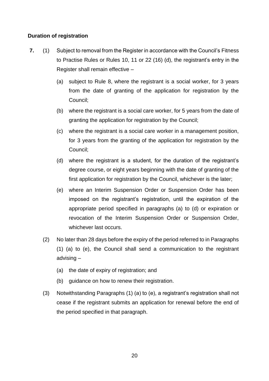#### **Duration of registration**

- **7.** (1) Subject to removal from the Register in accordance with the Council's Fitness to Practise Rules or Rules 10, 11 or 22 (16) (d), the registrant's entry in the Register shall remain effective –
	- (a) subject to Rule 8, where the registrant is a social worker, for 3 years from the date of granting of the application for registration by the Council;
	- (b) where the registrant is a social care worker, for 5 years from the date of granting the application for registration by the Council;
	- (c) where the registrant is a social care worker in a management position, for 3 years from the granting of the application for registration by the Council;
	- (d) where the registrant is a student, for the duration of the registrant's degree course, or eight years beginning with the date of granting of the first application for registration by the Council, whichever is the later;
	- (e) where an Interim Suspension Order or Suspension Order has been imposed on the registrant's registration, until the expiration of the appropriate period specified in paragraphs (a) to (d) or expiration or revocation of the Interim Suspension Order or Suspension Order, whichever last occurs.
	- (2) No later than 28 days before the expiry of the period referred to in Paragraphs (1) (a) to (e), the Council shall send a communication to the registrant advising –
		- (a) the date of expiry of registration; and
		- (b) guidance on how to renew their registration.
	- (3) Notwithstanding Paragraphs (1) (a) to (e), a registrant's registration shall not cease if the registrant submits an application for renewal before the end of the period specified in that paragraph.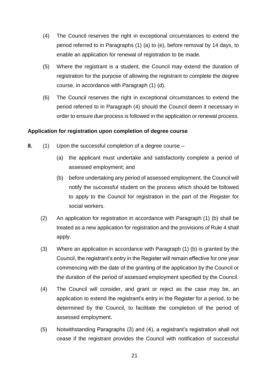- (4) The Council reserves the right in exceptional circumstances to extend the period referred to in Paragraphs (1) (a) to (e), before removal by 14 days, to enable an application for renewal of registration to be made.
- (5) Where the registrant is a student, the Council may extend the duration of registration for the purpose of allowing the registrant to complete the degree course, in accordance with Paragraph (1) (d).
- (6) The Council reserves the right in exceptional circumstances to extend the period referred to in Paragraph (4) should the Council deem it necessary in order to ensure due process is followed in the application or renewal process.

#### **Application for registration upon completion of degree course**

- **8.** (1) Upon the successful completion of a degree course
	- (a) the applicant must undertake and satisfactorily complete a period of assessed employment; and
	- (b) before undertaking any period of assessed employment, the Council will notify the successful student on the process which should be followed to apply to the Council for registration in the part of the Register for social workers.
	- (2) An application for registration in accordance with Paragraph (1) (b) shall be treated as a new application for registration and the provisions of Rule 4 shall apply.
	- (3) Where an application in accordance with Paragraph (1) (b) is granted by the Council, the registrant's entry in the Register will remain effective for one year commencing with the date of the granting of the application by the Council or the duration of the period of assessed employment specified by the Council.
	- (4) The Council will consider, and grant or reject as the case may be, an application to extend the registrant's entry in the Register for a period, to be determined by the Council, to facilitate the completion of the period of assessed employment.
	- (5) Notwithstanding Paragraphs (3) and (4), a registrant's registration shall not cease if the registrant provides the Council with notification of successful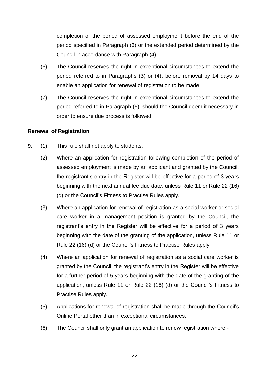completion of the period of assessed employment before the end of the period specified in Paragraph (3) or the extended period determined by the Council in accordance with Paragraph (4).

- (6) The Council reserves the right in exceptional circumstances to extend the period referred to in Paragraphs (3) or (4), before removal by 14 days to enable an application for renewal of registration to be made.
- (7) The Council reserves the right in exceptional circumstances to extend the period referred to in Paragraph (6), should the Council deem it necessary in order to ensure due process is followed.

#### **Renewal of Registration**

- **9.** (1) This rule shall not apply to students.
	- (2) Where an application for registration following completion of the period of assessed employment is made by an applicant and granted by the Council, the registrant's entry in the Register will be effective for a period of 3 years beginning with the next annual fee due date, unless Rule 11 or Rule 22 (16) (d) or the Council's Fitness to Practise Rules apply.
	- (3) Where an application for renewal of registration as a social worker or social care worker in a management position is granted by the Council, the registrant's entry in the Register will be effective for a period of 3 years beginning with the date of the granting of the application, unless Rule 11 or Rule 22 (16) (d) or the Council's Fitness to Practise Rules apply.
	- (4) Where an application for renewal of registration as a social care worker is granted by the Council, the registrant's entry in the Register will be effective for a further period of 5 years beginning with the date of the granting of the application, unless Rule 11 or Rule 22 (16) (d) or the Council's Fitness to Practise Rules apply.
	- (5) Applications for renewal of registration shall be made through the Council's Online Portal other than in exceptional circumstances.
	- (6) The Council shall only grant an application to renew registration where -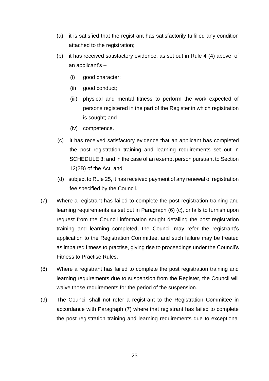- (a) it is satisfied that the registrant has satisfactorily fulfilled any condition attached to the registration;
- (b) it has received satisfactory evidence, as set out in Rule 4 (4) above, of an applicant's –
	- (i) good character;
	- (ii) good conduct;
	- (iii) physical and mental fitness to perform the work expected of persons registered in the part of the Register in which registration is sought; and
	- (iv) competence.
- (c) it has received satisfactory evidence that an applicant has completed the post registration training and learning requirements set out in SCHEDULE 3; and in the case of an exempt person pursuant to Section 12(2B) of the Act; and
- (d) subject to Rule 25, it has received payment of any renewal of registration fee specified by the Council.
- (7) Where a registrant has failed to complete the post registration training and learning requirements as set out in Paragraph (6) (c), or fails to furnish upon request from the Council information sought detailing the post registration training and learning completed, the Council may refer the registrant's application to the Registration Committee, and such failure may be treated as impaired fitness to practise, giving rise to proceedings under the Council's Fitness to Practise Rules.
- (8) Where a registrant has failed to complete the post registration training and learning requirements due to suspension from the Register, the Council will waive those requirements for the period of the suspension.
- (9) The Council shall not refer a registrant to the Registration Committee in accordance with Paragraph (7) where that registrant has failed to complete the post registration training and learning requirements due to exceptional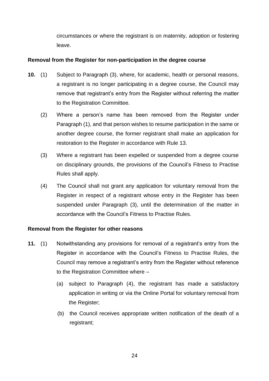circumstances or where the registrant is on maternity, adoption or fostering leave.

#### **Removal from the Register for non-participation in the degree course**

- **10.** (1) Subject to Paragraph (3), where, for academic, health or personal reasons, a registrant is no longer participating in a degree course, the Council may remove that registrant's entry from the Register without referring the matter to the Registration Committee.
	- (2) Where a person's name has been removed from the Register under Paragraph (1), and that person wishes to resume participation in the same or another degree course, the former registrant shall make an application for restoration to the Register in accordance with Rule 13.
	- (3) Where a registrant has been expelled or suspended from a degree course on disciplinary grounds, the provisions of the Council's Fitness to Practise Rules shall apply.
	- (4) The Council shall not grant any application for voluntary removal from the Register in respect of a registrant whose entry in the Register has been suspended under Paragraph (3), until the determination of the matter in accordance with the Council's Fitness to Practise Rules.

#### **Removal from the Register for other reasons**

- **11.** (1) Notwithstanding any provisions for removal of a registrant's entry from the Register in accordance with the Council's Fitness to Practise Rules, the Council may remove a registrant's entry from the Register without reference to the Registration Committee where –
	- (a) subject to Paragraph (4), the registrant has made a satisfactory application in writing or via the Online Portal for voluntary removal from the Register;
	- (b) the Council receives appropriate written notification of the death of a registrant;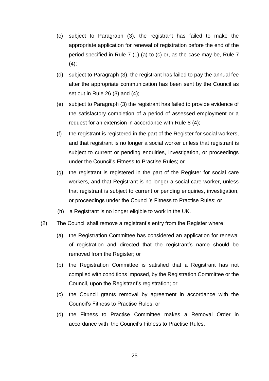- (c) subject to Paragraph (3), the registrant has failed to make the appropriate application for renewal of registration before the end of the period specified in Rule 7 (1) (a) to (c) or, as the case may be, Rule 7  $(4);$
- (d) subject to Paragraph (3), the registrant has failed to pay the annual fee after the appropriate communication has been sent by the Council as set out in Rule 26 (3) and (4);
- (e) subject to Paragraph (3) the registrant has failed to provide evidence of the satisfactory completion of a period of assessed employment or a request for an extension in accordance with Rule 8 (4);
- (f) the registrant is registered in the part of the Register for social workers, and that registrant is no longer a social worker unless that registrant is subject to current or pending enquiries, investigation, or proceedings under the Council's Fitness to Practise Rules; or
- (g) the registrant is registered in the part of the Register for social care workers, and that Registrant is no longer a social care worker, unless that registrant is subject to current or pending enquiries, investigation, or proceedings under the Council's Fitness to Practise Rules; or
- (h) a Registrant is no longer eligible to work in the UK.
- (2) The Council shall remove a registrant's entry from the Register where:
	- (a) the Registration Committee has considered an application for renewal of registration and directed that the registrant's name should be removed from the Register; or
	- (b) the Registration Committee is satisfied that a Registrant has not complied with conditions imposed, by the Registration Committee or the Council, upon the Registrant's registration; or
	- (c) the Council grants removal by agreement in accordance with the Council's Fitness to Practise Rules; or
	- (d) the Fitness to Practise Committee makes a Removal Order in accordance with the Council's Fitness to Practise Rules.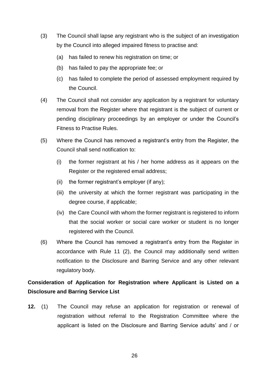- (3) The Council shall lapse any registrant who is the subject of an investigation by the Council into alleged impaired fitness to practise and:
	- (a) has failed to renew his registration on time; or
	- (b) has failed to pay the appropriate fee; or
	- (c) has failed to complete the period of assessed employment required by the Council.
- (4) The Council shall not consider any application by a registrant for voluntary removal from the Register where that registrant is the subject of current or pending disciplinary proceedings by an employer or under the Council's Fitness to Practise Rules.
- (5) Where the Council has removed a registrant's entry from the Register, the Council shall send notification to:
	- (i) the former registrant at his / her home address as it appears on the Register or the registered email address;
	- (ii) the former registrant's employer (if any);
	- (iii) the university at which the former registrant was participating in the degree course, if applicable;
	- (iv) the Care Council with whom the former registrant is registered to inform that the social worker or social care worker or student is no longer registered with the Council.
- (6) Where the Council has removed a registrant's entry from the Register in accordance with Rule 11 (2), the Council may additionally send written notification to the Disclosure and Barring Service and any other relevant regulatory body.

# **Consideration of Application for Registration where Applicant is Listed on a Disclosure and Barring Service List**

**12.** (1) The Council may refuse an application for registration or renewal of registration without referral to the Registration Committee where the applicant is listed on the Disclosure and Barring Service adults' and / or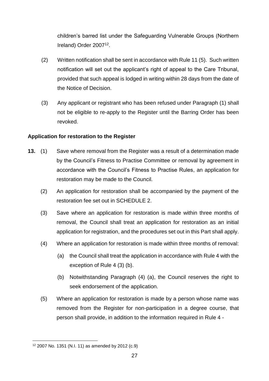children's barred list under the Safeguarding Vulnerable Groups (Northern Ireland) Order 2007<sup>12</sup>.

- (2) Written notification shall be sent in accordance with Rule 11 (5). Such written notification will set out the applicant's right of appeal to the Care Tribunal, provided that such appeal is lodged in writing within 28 days from the date of the Notice of Decision.
- (3) Any applicant or registrant who has been refused under Paragraph (1) shall not be eligible to re-apply to the Register until the Barring Order has been revoked.

#### **Application for restoration to the Register**

- **13.** (1) Save where removal from the Register was a result of a determination made by the Council's Fitness to Practise Committee or removal by agreement in accordance with the Council's Fitness to Practise Rules, an application for restoration may be made to the Council.
	- (2) An application for restoration shall be accompanied by the payment of the restoration fee set out in SCHEDULE 2.
	- (3) Save where an application for restoration is made within three months of removal, the Council shall treat an application for restoration as an initial application for registration, and the procedures set out in this Part shall apply.
	- (4) Where an application for restoration is made within three months of removal:
		- (a) the Council shall treat the application in accordance with Rule 4 with the exception of Rule 4 (3) (b).
		- (b) Notwithstanding Paragraph (4) (a), the Council reserves the right to seek endorsement of the application.
	- (5) Where an application for restoration is made by a person whose name was removed from the Register for non-participation in a degree course, that person shall provide, in addition to the information required in Rule 4 -

1

<sup>12</sup> 2007 No. 1351 (N.I. 11) as amended by 2012 (c.9)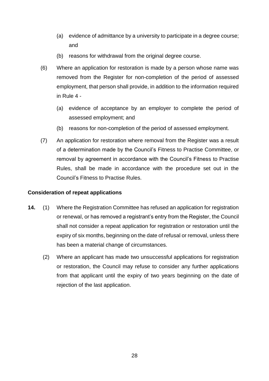- (a) evidence of admittance by a university to participate in a degree course; and
- (b) reasons for withdrawal from the original degree course.
- (6) Where an application for restoration is made by a person whose name was removed from the Register for non-completion of the period of assessed employment, that person shall provide, in addition to the information required in Rule 4 -
	- (a) evidence of acceptance by an employer to complete the period of assessed employment; and
	- (b) reasons for non-completion of the period of assessed employment.
- (7) An application for restoration where removal from the Register was a result of a determination made by the Council's Fitness to Practise Committee, or removal by agreement in accordance with the Council's Fitness to Practise Rules, shall be made in accordance with the procedure set out in the Council's Fitness to Practise Rules.

#### **Consideration of repeat applications**

- **14.** (1) Where the Registration Committee has refused an application for registration or renewal, or has removed a registrant's entry from the Register, the Council shall not consider a repeat application for registration or restoration until the expiry of six months, beginning on the date of refusal or removal, unless there has been a material change of circumstances.
	- (2) Where an applicant has made two unsuccessful applications for registration or restoration, the Council may refuse to consider any further applications from that applicant until the expiry of two years beginning on the date of rejection of the last application.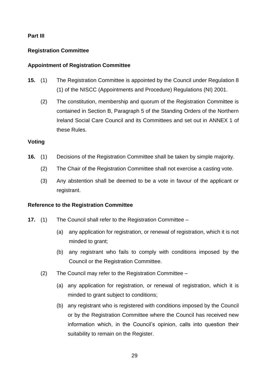#### **Part III**

#### **Registration Committee**

#### **Appointment of Registration Committee**

- **15.** (1) The Registration Committee is appointed by the Council under Regulation 8 (1) of the NISCC (Appointments and Procedure) Regulations (NI) 2001.
	- (2) The constitution, membership and quorum of the Registration Committee is contained in Section B, Paragraph 5 of the Standing Orders of the Northern Ireland Social Care Council and its Committees and set out in ANNEX 1 of these Rules.

#### **Voting**

- **16.** (1) Decisions of the Registration Committee shall be taken by simple majority.
	- (2) The Chair of the Registration Committee shall not exercise a casting vote.
	- (3) Any abstention shall be deemed to be a vote in favour of the applicant or registrant.

#### **Reference to the Registration Committee**

- **17.** (1) The Council shall refer to the Registration Committee
	- (a) any application for registration, or renewal of registration, which it is not minded to grant;
	- (b) any registrant who fails to comply with conditions imposed by the Council or the Registration Committee.
	- (2) The Council may refer to the Registration Committee
		- (a) any application for registration, or renewal of registration, which it is minded to grant subject to conditions;
		- (b) any registrant who is registered with conditions imposed by the Council or by the Registration Committee where the Council has received new information which, in the Council's opinion, calls into question their suitability to remain on the Register.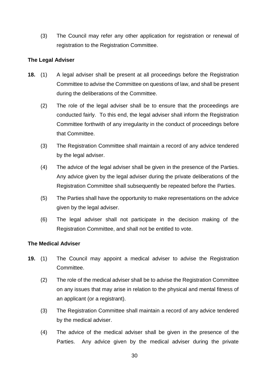(3) The Council may refer any other application for registration or renewal of registration to the Registration Committee.

#### **The Legal Adviser**

- **18.** (1) A legal adviser shall be present at all proceedings before the Registration Committee to advise the Committee on questions of law, and shall be present during the deliberations of the Committee.
	- (2) The role of the legal adviser shall be to ensure that the proceedings are conducted fairly. To this end, the legal adviser shall inform the Registration Committee forthwith of any irregularity in the conduct of proceedings before that Committee.
	- (3) The Registration Committee shall maintain a record of any advice tendered by the legal adviser.
	- (4) The advice of the legal adviser shall be given in the presence of the Parties. Any advice given by the legal adviser during the private deliberations of the Registration Committee shall subsequently be repeated before the Parties.
	- (5) The Parties shall have the opportunity to make representations on the advice given by the legal adviser.
	- (6) The legal adviser shall not participate in the decision making of the Registration Committee, and shall not be entitled to vote.

#### **The Medical Adviser**

- **19.** (1) The Council may appoint a medical adviser to advise the Registration Committee.
	- (2) The role of the medical adviser shall be to advise the Registration Committee on any issues that may arise in relation to the physical and mental fitness of an applicant (or a registrant).
	- (3) The Registration Committee shall maintain a record of any advice tendered by the medical adviser.
	- (4) The advice of the medical adviser shall be given in the presence of the Parties. Any advice given by the medical adviser during the private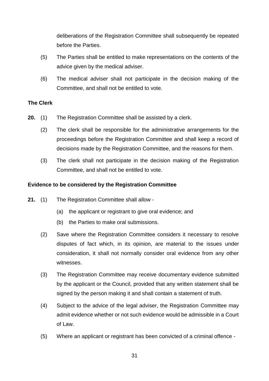deliberations of the Registration Committee shall subsequently be repeated before the Parties.

- (5) The Parties shall be entitled to make representations on the contents of the advice given by the medical adviser.
- (6) The medical adviser shall not participate in the decision making of the Committee, and shall not be entitled to vote.

#### **The Clerk**

- **20.** (1) The Registration Committee shall be assisted by a clerk.
	- (2) The clerk shall be responsible for the administrative arrangements for the proceedings before the Registration Committee and shall keep a record of decisions made by the Registration Committee, and the reasons for them.
	- (3) The clerk shall not participate in the decision making of the Registration Committee, and shall not be entitled to vote.

#### **Evidence to be considered by the Registration Committee**

- **21.** (1) The Registration Committee shall allow
	- (a) the applicant or registrant to give oral evidence; and
	- (b) the Parties to make oral submissions.
	- (2) Save where the Registration Committee considers it necessary to resolve disputes of fact which, in its opinion, are material to the issues under consideration, it shall not normally consider oral evidence from any other witnesses.
	- (3) The Registration Committee may receive documentary evidence submitted by the applicant or the Council, provided that any written statement shall be signed by the person making it and shall contain a statement of truth.
	- (4) Subject to the advice of the legal adviser, the Registration Committee may admit evidence whether or not such evidence would be admissible in a Court of Law.
	- (5) Where an applicant or registrant has been convicted of a criminal offence -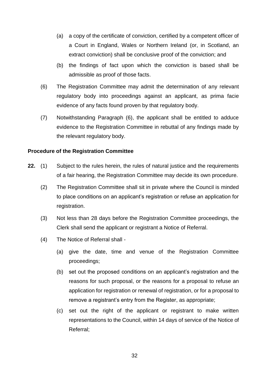- (a) a copy of the certificate of conviction, certified by a competent officer of a Court in England, Wales or Northern Ireland (or, in Scotland, an extract conviction) shall be conclusive proof of the conviction; and
- (b) the findings of fact upon which the conviction is based shall be admissible as proof of those facts.
- (6) The Registration Committee may admit the determination of any relevant regulatory body into proceedings against an applicant, as prima facie evidence of any facts found proven by that regulatory body.
- (7) Notwithstanding Paragraph (6), the applicant shall be entitled to adduce evidence to the Registration Committee in rebuttal of any findings made by the relevant regulatory body.

#### **Procedure of the Registration Committee**

- **22.** (1) Subject to the rules herein, the rules of natural justice and the requirements of a fair hearing, the Registration Committee may decide its own procedure.
	- (2) The Registration Committee shall sit in private where the Council is minded to place conditions on an applicant's registration or refuse an application for registration.
	- (3) Not less than 28 days before the Registration Committee proceedings, the Clerk shall send the applicant or registrant a Notice of Referral.
	- (4) The Notice of Referral shall
		- (a) give the date, time and venue of the Registration Committee proceedings;
		- (b) set out the proposed conditions on an applicant's registration and the reasons for such proposal, or the reasons for a proposal to refuse an application for registration or renewal of registration, or for a proposal to remove a registrant's entry from the Register, as appropriate;
		- (c) set out the right of the applicant or registrant to make written representations to the Council, within 14 days of service of the Notice of Referral;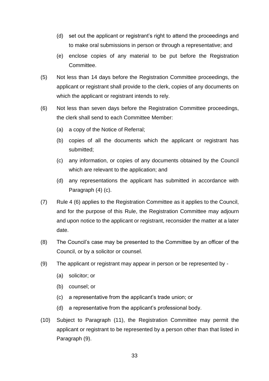- (d) set out the applicant or registrant's right to attend the proceedings and to make oral submissions in person or through a representative; and
- (e) enclose copies of any material to be put before the Registration Committee.
- (5) Not less than 14 days before the Registration Committee proceedings, the applicant or registrant shall provide to the clerk, copies of any documents on which the applicant or registrant intends to rely.
- (6) Not less than seven days before the Registration Committee proceedings, the clerk shall send to each Committee Member:
	- (a) a copy of the Notice of Referral;
	- (b) copies of all the documents which the applicant or registrant has submitted;
	- (c) any information, or copies of any documents obtained by the Council which are relevant to the application; and
	- (d) any representations the applicant has submitted in accordance with Paragraph (4) (c).
- (7) Rule 4 (6) applies to the Registration Committee as it applies to the Council, and for the purpose of this Rule, the Registration Committee may adjourn and upon notice to the applicant or registrant, reconsider the matter at a later date.
- (8) The Council's case may be presented to the Committee by an officer of the Council, or by a solicitor or counsel.
- (9) The applicant or registrant may appear in person or be represented by
	- (a) solicitor; or
	- (b) counsel; or
	- (c) a representative from the applicant's trade union; or
	- (d) a representative from the applicant's professional body.
- (10) Subject to Paragraph (11), the Registration Committee may permit the applicant or registrant to be represented by a person other than that listed in Paragraph (9).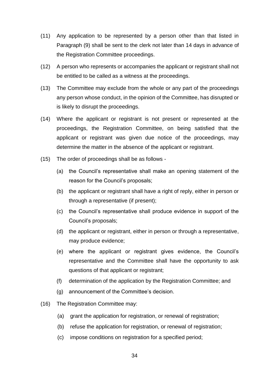- (11) Any application to be represented by a person other than that listed in Paragraph (9) shall be sent to the clerk not later than 14 days in advance of the Registration Committee proceedings.
- (12) A person who represents or accompanies the applicant or registrant shall not be entitled to be called as a witness at the proceedings.
- (13) The Committee may exclude from the whole or any part of the proceedings any person whose conduct, in the opinion of the Committee, has disrupted or is likely to disrupt the proceedings.
- (14) Where the applicant or registrant is not present or represented at the proceedings, the Registration Committee, on being satisfied that the applicant or registrant was given due notice of the proceedings, may determine the matter in the absence of the applicant or registrant.
- (15) The order of proceedings shall be as follows
	- (a) the Council's representative shall make an opening statement of the reason for the Council's proposals;
	- (b) the applicant or registrant shall have a right of reply, either in person or through a representative (if present);
	- (c) the Council's representative shall produce evidence in support of the Council's proposals;
	- (d) the applicant or registrant, either in person or through a representative, may produce evidence;
	- (e) where the applicant or registrant gives evidence, the Council's representative and the Committee shall have the opportunity to ask questions of that applicant or registrant;
	- (f) determination of the application by the Registration Committee; and
	- (g) announcement of the Committee's decision.
- (16) The Registration Committee may:
	- (a) grant the application for registration, or renewal of registration;
	- (b) refuse the application for registration, or renewal of registration;
	- (c) impose conditions on registration for a specified period;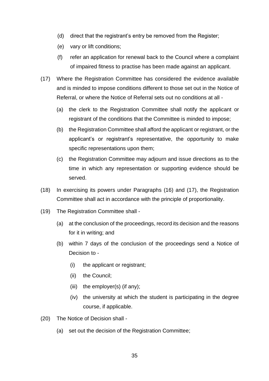- (d) direct that the registrant's entry be removed from the Register;
- (e) vary or lift conditions;
- (f) refer an application for renewal back to the Council where a complaint of impaired fitness to practise has been made against an applicant.
- (17) Where the Registration Committee has considered the evidence available and is minded to impose conditions different to those set out in the Notice of Referral, or where the Notice of Referral sets out no conditions at all -
	- (a) the clerk to the Registration Committee shall notify the applicant or registrant of the conditions that the Committee is minded to impose;
	- (b) the Registration Committee shall afford the applicant or registrant, or the applicant's or registrant's representative, the opportunity to make specific representations upon them;
	- (c) the Registration Committee may adjourn and issue directions as to the time in which any representation or supporting evidence should be served.
- (18) In exercising its powers under Paragraphs (16) and (17), the Registration Committee shall act in accordance with the principle of proportionality.
- (19) The Registration Committee shall
	- (a) at the conclusion of the proceedings, record its decision and the reasons for it in writing; and
	- (b) within 7 days of the conclusion of the proceedings send a Notice of Decision to -
		- (i) the applicant or registrant;
		- (ii) the Council;
		- (iii) the employer(s) (if any);
		- (iv) the university at which the student is participating in the degree course, if applicable.
- (20) The Notice of Decision shall
	- (a) set out the decision of the Registration Committee;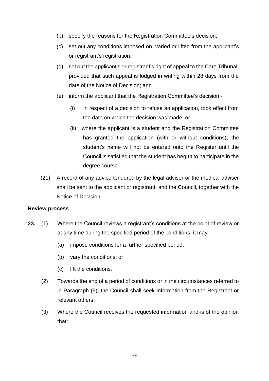- (b) specify the reasons for the Registration Committee's decision;
- (c) set out any conditions imposed on, varied or lifted from the applicant's or registrant's registration;
- (d) set out the applicant's or registrant's right of appeal to the Care Tribunal, provided that such appeal is lodged in writing within 28 days from the date of the Notice of Decision; and
- (e) inform the applicant that the Registration Committee's decision
	- (i) in respect of a decision to refuse an application, took effect from the date on which the decision was made; or
	- (ii) where the applicant is a student and the Registration Committee has granted the application (with or without conditions), the student's name will not be entered onto the Register until the Council is satisfied that the student has begun to participate in the degree course.
- (21) A record of any advice tendered by the legal adviser or the medical adviser shall be sent to the applicant or registrant, and the Council, together with the Notice of Decision.

#### **Review process**

- **23.** (1) Where the Council reviews a registrant's conditions at the point of review or at any time during the specified period of the conditions, it may -
	- (a) impose conditions for a further specified period;
	- (b) vary the conditions; or
	- (c) lift the conditions.
	- (2) Towards the end of a period of conditions or in the circumstances referred to in Paragraph (5), the Council shall seek information from the Registrant or relevant others.
	- (3) Where the Council receives the requested information and is of the opinion that: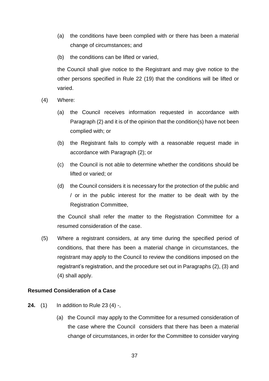- (a) the conditions have been complied with or there has been a material change of circumstances; and
- (b) the conditions can be lifted or varied,

the Council shall give notice to the Registrant and may give notice to the other persons specified in Rule 22 (19) that the conditions will be lifted or varied.

(4) Where:

- (a) the Council receives information requested in accordance with Paragraph (2) and it is of the opinion that the condition(s) have not been complied with; or
- (b) the Registrant fails to comply with a reasonable request made in accordance with Paragraph (2); or
- (c) the Council is not able to determine whether the conditions should be lifted or varied; or
- (d) the Council considers it is necessary for the protection of the public and / or in the public interest for the matter to be dealt with by the Registration Committee,

the Council shall refer the matter to the Registration Committee for a resumed consideration of the case.

(5) Where a registrant considers, at any time during the specified period of conditions, that there has been a material change in circumstances, the registrant may apply to the Council to review the conditions imposed on the registrant's registration, and the procedure set out in Paragraphs (2), (3) and (4) shall apply.

#### **Resumed Consideration of a Case**

- **24.** (1) In addition to Rule 23 (4) -,
	- (a) the Council may apply to the Committee for a resumed consideration of the case where the Council considers that there has been a material change of circumstances, in order for the Committee to consider varying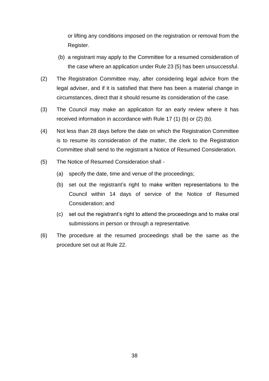or lifting any conditions imposed on the registration or removal from the Register.

- (b) a registrant may apply to the Committee for a resumed consideration of the case where an application under Rule 23 (5) has been unsuccessful.
- (2) The Registration Committee may, after considering legal advice from the legal adviser, and if it is satisfied that there has been a material change in circumstances, direct that it should resume its consideration of the case.
- (3) The Council may make an application for an early review where it has received information in accordance with Rule 17 (1) (b) or (2) (b).
- (4) Not less than 28 days before the date on which the Registration Committee is to resume its consideration of the matter, the clerk to the Registration Committee shall send to the registrant a Notice of Resumed Consideration.
- (5) The Notice of Resumed Consideration shall
	- (a) specify the date, time and venue of the proceedings;
	- (b) set out the registrant's right to make written representations to the Council within 14 days of service of the Notice of Resumed Consideration; and
	- (c) set out the registrant's right to attend the proceedings and to make oral submissions in person or through a representative.
- (6) The procedure at the resumed proceedings shall be the same as the procedure set out at Rule 22.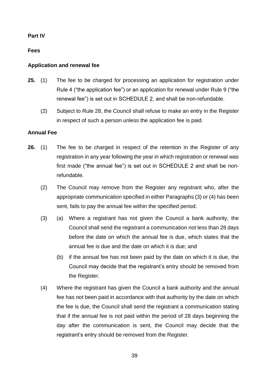#### **Part IV**

#### **Fees**

#### **Application and renewal fee**

- **25.** (1) The fee to be charged for processing an application for registration under Rule 4 ("the application fee") or an application for renewal under Rule 9 ("the renewal fee") is set out in SCHEDULE 2, and shall be non-refundable.
	- (2) Subject to Rule 28, the Council shall refuse to make an entry in the Register in respect of such a person unless the application fee is paid.

#### **Annual Fee**

- **26.** (1) The fee to be charged in respect of the retention in the Register of any registration in any year following the year in which registration or renewal was first made ("the annual fee") is set out in SCHEDULE 2 and shall be nonrefundable.
	- (2) The Council may remove from the Register any registrant who, after the appropriate communication specified in either Paragraphs (3) or (4) has been sent, fails to pay the annual fee within the specified period.
	- (3) (a) Where a registrant has not given the Council a bank authority, the Council shall send the registrant a communication not less than 28 days before the date on which the annual fee is due, which states that the annual fee is due and the date on which it is due; and
		- (b) if the annual fee has not been paid by the date on which it is due, the Council may decide that the registrant's entry should be removed from the Register.
	- (4) Where the registrant has given the Council a bank authority and the annual fee has not been paid in accordance with that authority by the date on which the fee is due, the Council shall send the registrant a communication stating that if the annual fee is not paid within the period of 28 days beginning the day after the communication is sent, the Council may decide that the registrant's entry should be removed from the Register.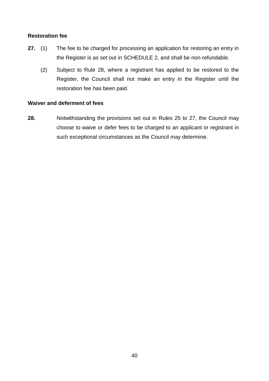#### **Restoration fee**

- **27.** (1) The fee to be charged for processing an application for restoring an entry in the Register is as set out in SCHEDULE 2, and shall be non-refundable.
	- (2) Subject to Rule 28, where a registrant has applied to be restored to the Register, the Council shall not make an entry in the Register until the restoration fee has been paid.

#### **Waiver and deferment of fees**

**28.** Notwithstanding the provisions set out in Rules 25 to 27, the Council may choose to waive or defer fees to be charged to an applicant or registrant in such exceptional circumstances as the Council may determine.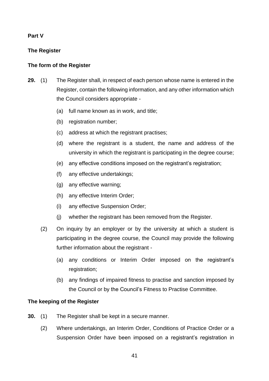#### **Part V**

#### **The Register**

#### **The form of the Register**

- **29.** (1) The Register shall, in respect of each person whose name is entered in the Register, contain the following information, and any other information which the Council considers appropriate -
	- (a) full name known as in work, and title;
	- (b) registration number;
	- (c) address at which the registrant practises;
	- (d) where the registrant is a student, the name and address of the university in which the registrant is participating in the degree course;
	- (e) any effective conditions imposed on the registrant's registration;
	- (f) any effective undertakings;
	- (g) any effective warning;
	- (h) any effective Interim Order;
	- (i) any effective Suspension Order;
	- (j) whether the registrant has been removed from the Register.
	- (2) On inquiry by an employer or by the university at which a student is participating in the degree course, the Council may provide the following further information about the registrant -
		- (a) any conditions or Interim Order imposed on the registrant's registration;
		- (b) any findings of impaired fitness to practise and sanction imposed by the Council or by the Council's Fitness to Practise Committee.

#### **The keeping of the Register**

- **30.** (1) The Register shall be kept in a secure manner.
	- (2) Where undertakings, an Interim Order, Conditions of Practice Order or a Suspension Order have been imposed on a registrant's registration in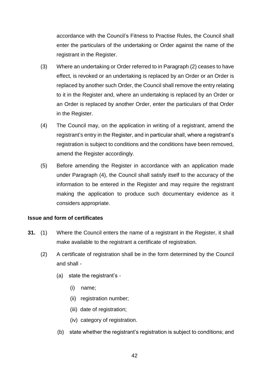accordance with the Council's Fitness to Practise Rules, the Council shall enter the particulars of the undertaking or Order against the name of the registrant in the Register.

- (3) Where an undertaking or Order referred to in Paragraph (2) ceases to have effect, is revoked or an undertaking is replaced by an Order or an Order is replaced by another such Order, the Council shall remove the entry relating to it in the Register and, where an undertaking is replaced by an Order or an Order is replaced by another Order, enter the particulars of that Order in the Register.
- (4) The Council may, on the application in writing of a registrant, amend the registrant's entry in the Register, and in particular shall, where a registrant's registration is subject to conditions and the conditions have been removed, amend the Register accordingly.
- (5) Before amending the Register in accordance with an application made under Paragraph (4), the Council shall satisfy itself to the accuracy of the information to be entered in the Register and may require the registrant making the application to produce such documentary evidence as it considers appropriate.

#### **Issue and form of certificates**

- **31.** (1) Where the Council enters the name of a registrant in the Register, it shall make available to the registrant a certificate of registration.
	- (2) A certificate of registration shall be in the form determined by the Council and shall -
		- (a) state the registrant's
			- (i) name;
			- (ii) registration number;
			- (iii) date of registration;
			- (iv) category of registration.
		- (b) state whether the registrant's registration is subject to conditions; and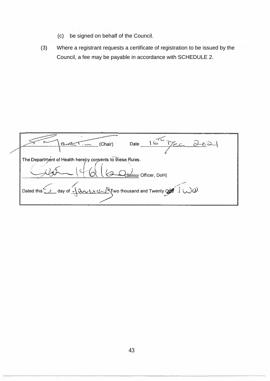- (c) be signed on behalf of the Council.
- (3) Where a registrant requests a certificate of registration to be issued by the Council, a fee may be payable in accordance with SCHEDULE 2.

 $16$  $\sqrt{Chair}$ Date  $63$  $\alpha$ C -0 The Department of Health hereby consents to these Rules.  $1461$ -i �"------I <:.f· l \ a b:---9sdnior Officer, DoH) Dated this <u>Company of Autreal</u> My two thousand and Twenty of  $\overline{1}\cup 0$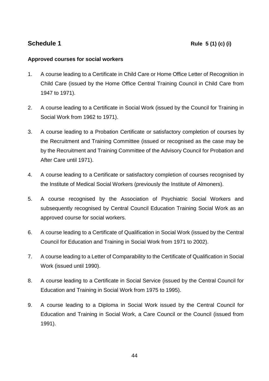#### **Approved courses for social workers**

- 1. A course leading to a Certificate in Child Care or Home Office Letter of Recognition in Child Care (issued by the Home Office Central Training Council in Child Care from 1947 to 1971).
- 2. A course leading to a Certificate in Social Work (issued by the Council for Training in Social Work from 1962 to 1971).
- 3. A course leading to a Probation Certificate or satisfactory completion of courses by the Recruitment and Training Committee (issued or recognised as the case may be by the Recruitment and Training Committee of the Advisory Council for Probation and After Care until 1971).
- 4. A course leading to a Certificate or satisfactory completion of courses recognised by the Institute of Medical Social Workers (previously the Institute of Almoners).
- 5. A course recognised by the Association of Psychiatric Social Workers and subsequently recognised by Central Council Education Training Social Work as an approved course for social workers.
- 6. A course leading to a Certificate of Qualification in Social Work (issued by the Central Council for Education and Training in Social Work from 1971 to 2002).
- 7. A course leading to a Letter of Comparability to the Certificate of Qualification in Social Work (issued until 1990).
- 8. A course leading to a Certificate in Social Service (issued by the Central Council for Education and Training in Social Work from 1975 to 1995).
- 9. A course leading to a Diploma in Social Work issued by the Central Council for Education and Training in Social Work, a Care Council or the Council (issued from 1991).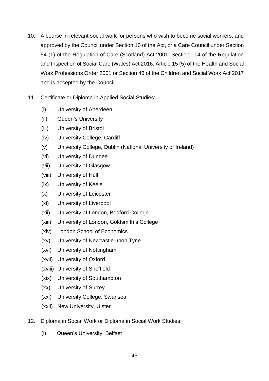- 10. A course in relevant social work for persons who wish to become social workers, and approved by the Council under Section 10 of the Act, or a Care Council under Section 54 (1) of the Regulation of Care (Scotland) Act 2001, Section 114 of the Regulation and Inspection of Social Care (Wales) Act 2016, Article 15 (5) of the Health and Social Work Professions Order 2001 or Section 43 of the Children and Social Work Act 2017 and is accepted by the Council..
- 11. Certificate or Diploma in Applied Social Studies:
	- (i) University of Aberdeen
	- (ii) Queen's University
	- (iii) University of Bristol
	- (iv) University College, Cardiff
	- (v) University College, Dublin (National University of Ireland)
	- (vi) University of Dundee
	- (vii) University of Glasgow
	- (viii) University of Hull
	- (ix) University of Keele
	- (x) University of Leicester
	- (xi) University of Liverpool
	- (xii) University of London, Bedford College
	- (xiii) University of London, Goldsmith's College
	- (xiv) London School of Economics
	- (xv) University of Newcastle upon Tyne
	- (xvi) University of Nottingham
	- (xvii) University of Oxford
	- (xviii) University of Sheffield
	- (xix) University of Southampton
	- (xx) University of Surrey
	- (xxi) University College, Swansea
	- (xxii) New University, Ulster
- 12. Diploma in Social Work or Diploma in Social Work Studies:
	- (i) Queen's University, Belfast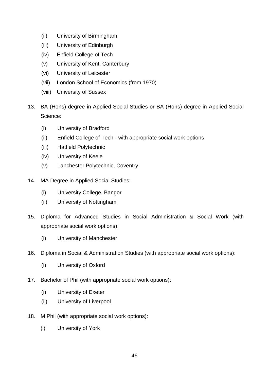- (ii) University of Birmingham
- (iii) University of Edinburgh
- (iv) Enfield College of Tech
- (v) University of Kent, Canterbury
- (vi) University of Leicester
- (vii) London School of Economics (from 1970)
- (viii) University of Sussex
- 13. BA (Hons) degree in Applied Social Studies or BA (Hons) degree in Applied Social Science:
	- (i) University of Bradford
	- (ii) Enfield College of Tech with appropriate social work options
	- (iii) Hatfield Polytechnic
	- (iv) University of Keele
	- (v) Lanchester Polytechnic, Coventry
- 14. MA Degree in Applied Social Studies:
	- (i) University College, Bangor
	- (ii) University of Nottingham
- 15. Diploma for Advanced Studies in Social Administration & Social Work (with appropriate social work options):
	- (i) University of Manchester
- 16. Diploma in Social & Administration Studies (with appropriate social work options):
	- (i) University of Oxford
- 17. Bachelor of Phil (with appropriate social work options):
	- (i) University of Exeter
	- (ii) University of Liverpool
- 18. M Phil (with appropriate social work options):
	- (i) University of York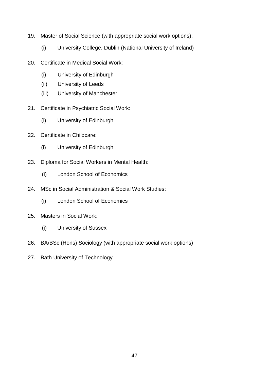- 19. Master of Social Science (with appropriate social work options):
	- (i) University College, Dublin (National University of Ireland)
- 20. Certificate in Medical Social Work:
	- (i) University of Edinburgh
	- (ii) University of Leeds
	- (iii) University of Manchester
- 21. Certificate in Psychiatric Social Work:
	- (i) University of Edinburgh
- 22. Certificate in Childcare:
	- (i) University of Edinburgh
- 23. Diploma for Social Workers in Mental Health:
	- (i) London School of Economics
- 24. MSc in Social Administration & Social Work Studies:
	- (i) London School of Economics
- 25. Masters in Social Work:
	- (i) University of Sussex
- 26. BA/BSc (Hons) Sociology (with appropriate social work options)
- 27. Bath University of Technology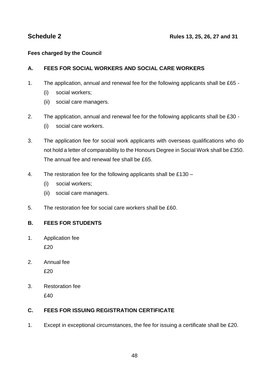#### **Fees charged by the Council**

#### **A. FEES FOR SOCIAL WORKERS AND SOCIAL CARE WORKERS**

- 1. The application, annual and renewal fee for the following applicants shall be £65
	- (i) social workers;
	- (ii) social care managers.
- 2. The application, annual and renewal fee for the following applicants shall be £30
	- (i) social care workers.
- 3. The application fee for social work applicants with overseas qualifications who do not hold a letter of comparability to the Honours Degree in Social Work shall be £350. The annual fee and renewal fee shall be £65.
- 4. The restoration fee for the following applicants shall be £130
	- (i) social workers;
	- (ii) social care managers.
- 5. The restoration fee for social care workers shall be £60.

### **B. FEES FOR STUDENTS**

- 1. Application fee £20
- 2. Annual fee £20
- 3. Restoration fee

£40

### **C. FEES FOR ISSUING REGISTRATION CERTIFICATE**

1. Except in exceptional circumstances, the fee for issuing a certificate shall be £20.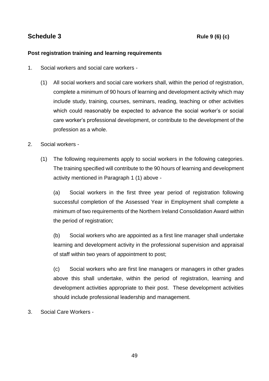# **Schedule 3 Rule 9 (6) (c)**

#### **Post registration training and learning requirements**

- 1. Social workers and social care workers
	- (1) All social workers and social care workers shall, within the period of registration, complete a minimum of 90 hours of learning and development activity which may include study, training, courses, seminars, reading, teaching or other activities which could reasonably be expected to advance the social worker's or social care worker's professional development, or contribute to the development of the profession as a whole.
- 2. Social workers
	- (1) The following requirements apply to social workers in the following categories. The training specified will contribute to the 90 hours of learning and development activity mentioned in Paragraph 1 (1) above -

(a) Social workers in the first three year period of registration following successful completion of the Assessed Year in Employment shall complete a minimum of two requirements of the Northern Ireland Consolidation Award within the period of registration:

(b) Social workers who are appointed as a first line manager shall undertake learning and development activity in the professional supervision and appraisal of staff within two years of appointment to post;

(c) Social workers who are first line managers or managers in other grades above this shall undertake, within the period of registration, learning and development activities appropriate to their post. These development activities should include professional leadership and management.

3. Social Care Workers -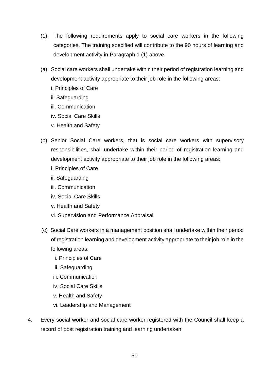- (1) The following requirements apply to social care workers in the following categories. The training specified will contribute to the 90 hours of learning and development activity in Paragraph 1 (1) above.
- (a) Social care workers shall undertake within their period of registration learning and development activity appropriate to their job role in the following areas:
	- i. Principles of Care
	- ii. Safeguarding
	- iii. Communication
	- iv. Social Care Skills
	- v. Health and Safety
- (b) Senior Social Care workers, that is social care workers with supervisory responsibilities, shall undertake within their period of registration learning and development activity appropriate to their job role in the following areas:
	- i. Principles of Care
	- ii. Safeguarding
	- iii. Communication
	- iv. Social Care Skills
	- v. Health and Safety
	- vi. Supervision and Performance Appraisal
- (c) Social Care workers in a management position shall undertake within their period of registration learning and development activity appropriate to their job role in the following areas:
	- i. Principles of Care
	- ii. Safeguarding
	- iii. Communication
	- iv. Social Care Skills
	- v. Health and Safety
	- vi. Leadership and Management
- 4. Every social worker and social care worker registered with the Council shall keep a record of post registration training and learning undertaken.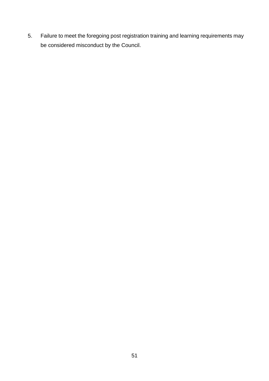5. Failure to meet the foregoing post registration training and learning requirements may be considered misconduct by the Council.